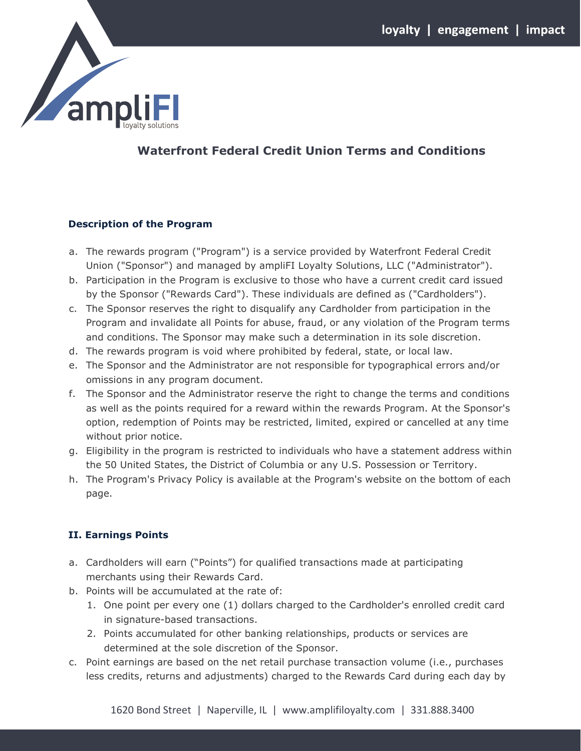

# **Waterfront Federal Credit Union Terms and Conditions**

#### **Description of the Program**

- a. The rewards program ("Program") is a service provided by Waterfront Federal Credit Union ("Sponsor") and managed by ampliFI Loyalty Solutions, LLC ("Administrator").
- b. Participation in the Program is exclusive to those who have a current credit card issued by the Sponsor ("Rewards Card"). These individuals are defined as ("Cardholders").
- c. The Sponsor reserves the right to disqualify any Cardholder from participation in the Program and invalidate all Points for abuse, fraud, or any violation of the Program terms and conditions. The Sponsor may make such a determination in its sole discretion.
- d. The rewards program is void where prohibited by federal, state, or local law.
- e. The Sponsor and the Administrator are not responsible for typographical errors and/or omissions in any program document.
- f. The Sponsor and the Administrator reserve the right to change the terms and conditions as well as the points required for a reward within the rewards Program. At the Sponsor's option, redemption of Points may be restricted, limited, expired or cancelled at any time without prior notice.
- g. Eligibility in the program is restricted to individuals who have a statement address within the 50 United States, the District of Columbia or any U.S. Possession or Territory.
- h. The Program's Privacy Policy is available at the Program's website on the bottom of each page.

# **II. Earnings Points**

- a. Cardholders will earn ("Points") for qualified transactions made at participating merchants using their Rewards Card.
- b. Points will be accumulated at the rate of:
	- 1. One point per every one (1) dollars charged to the Cardholder's enrolled credit card in signature-based transactions.
	- 2. Points accumulated for other banking relationships, products or services are determined at the sole discretion of the Sponsor.
- c. Point earnings are based on the net retail purchase transaction volume (i.e., purchases less credits, returns and adjustments) charged to the Rewards Card during each day by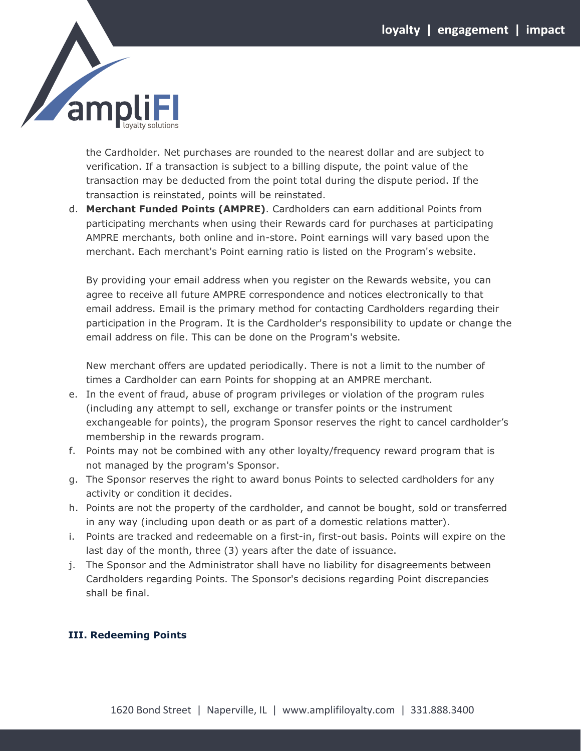

the Cardholder. Net purchases are rounded to the nearest dollar and are subject to verification. If a transaction is subject to a billing dispute, the point value of the transaction may be deducted from the point total during the dispute period. If the transaction is reinstated, points will be reinstated.

d. **Merchant Funded Points (AMPRE)**. Cardholders can earn additional Points from participating merchants when using their Rewards card for purchases at participating AMPRE merchants, both online and in-store. Point earnings will vary based upon the merchant. Each merchant's Point earning ratio is listed on the Program's website.

By providing your email address when you register on the Rewards website, you can agree to receive all future AMPRE correspondence and notices electronically to that email address. Email is the primary method for contacting Cardholders regarding their participation in the Program. It is the Cardholder's responsibility to update or change the email address on file. This can be done on the Program's website.

New merchant offers are updated periodically. There is not a limit to the number of times a Cardholder can earn Points for shopping at an AMPRE merchant.

- e. In the event of fraud, abuse of program privileges or violation of the program rules (including any attempt to sell, exchange or transfer points or the instrument exchangeable for points), the program Sponsor reserves the right to cancel cardholder's membership in the rewards program.
- f. Points may not be combined with any other loyalty/frequency reward program that is not managed by the program's Sponsor.
- g. The Sponsor reserves the right to award bonus Points to selected cardholders for any activity or condition it decides.
- h. Points are not the property of the cardholder, and cannot be bought, sold or transferred in any way (including upon death or as part of a domestic relations matter).
- i. Points are tracked and redeemable on a first-in, first-out basis. Points will expire on the last day of the month, three (3) years after the date of issuance.
- j. The Sponsor and the Administrator shall have no liability for disagreements between Cardholders regarding Points. The Sponsor's decisions regarding Point discrepancies shall be final.

#### **III. Redeeming Points**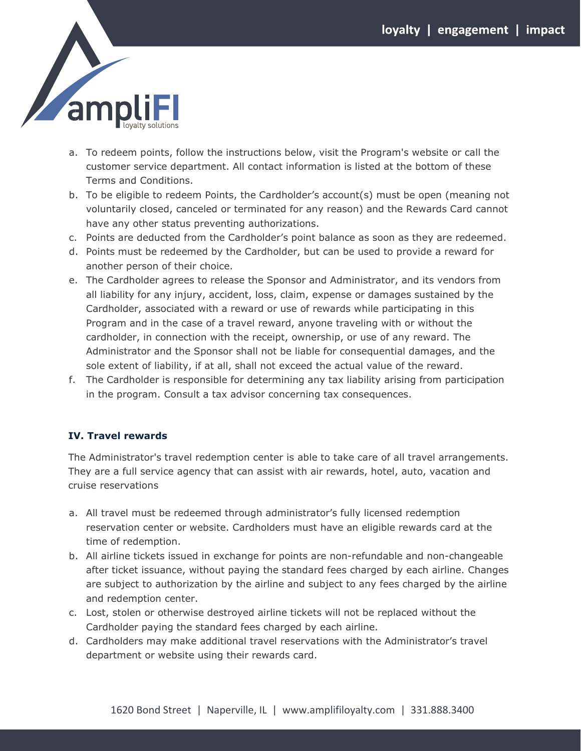

- a. To redeem points, follow the instructions below, visit the Program's website or call the customer service department. All contact information is listed at the bottom of these Terms and Conditions.
- b. To be eligible to redeem Points, the Cardholder's account(s) must be open (meaning not voluntarily closed, canceled or terminated for any reason) and the Rewards Card cannot have any other status preventing authorizations.
- c. Points are deducted from the Cardholder's point balance as soon as they are redeemed.
- d. Points must be redeemed by the Cardholder, but can be used to provide a reward for another person of their choice.
- e. The Cardholder agrees to release the Sponsor and Administrator, and its vendors from all liability for any injury, accident, loss, claim, expense or damages sustained by the Cardholder, associated with a reward or use of rewards while participating in this Program and in the case of a travel reward, anyone traveling with or without the cardholder, in connection with the receipt, ownership, or use of any reward. The Administrator and the Sponsor shall not be liable for consequential damages, and the sole extent of liability, if at all, shall not exceed the actual value of the reward.
- f. The Cardholder is responsible for determining any tax liability arising from participation in the program. Consult a tax advisor concerning tax consequences.

#### **IV. Travel rewards**

The Administrator's travel redemption center is able to take care of all travel arrangements. They are a full service agency that can assist with air rewards, hotel, auto, vacation and cruise reservations

- a. All travel must be redeemed through administrator's fully licensed redemption reservation center or website. Cardholders must have an eligible rewards card at the time of redemption.
- b. All airline tickets issued in exchange for points are non-refundable and non-changeable after ticket issuance, without paying the standard fees charged by each airline. Changes are subject to authorization by the airline and subject to any fees charged by the airline and redemption center.
- c. Lost, stolen or otherwise destroyed airline tickets will not be replaced without the Cardholder paying the standard fees charged by each airline.
- d. Cardholders may make additional travel reservations with the Administrator's travel department or website using their rewards card.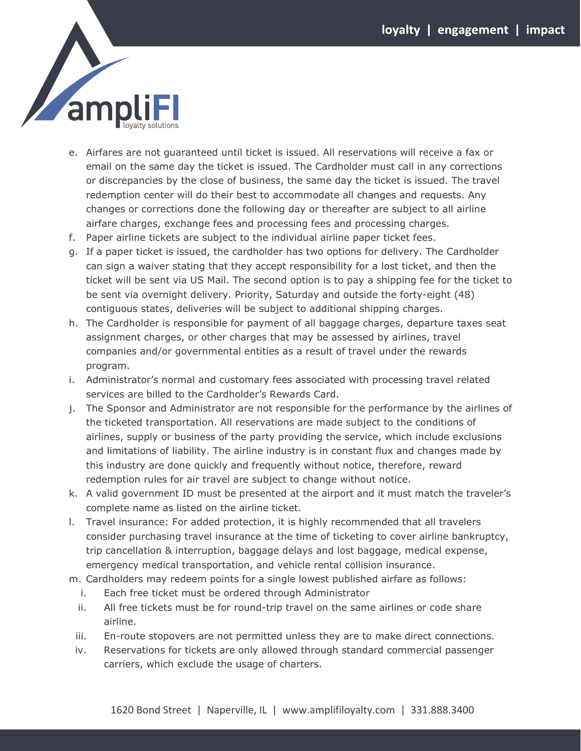

- e. Airfares are not guaranteed until ticket is issued. All reservations will receive a fax or email on the same day the ticket is issued. The Cardholder must call in any corrections or discrepancies by the close of business, the same day the ticket is issued. The travel redemption center will do their best to accommodate all changes and requests. Any changes or corrections done the following day or thereafter are subject to all airline airfare charges, exchange fees and processing fees and processing charges.
- f. Paper airline tickets are subject to the individual airline paper ticket fees.
- g. If a paper ticket is issued, the cardholder has two options for delivery. The Cardholder can sign a waiver stating that they accept responsibility for a lost ticket, and then the ticket will be sent via US Mail. The second option is to pay a shipping fee for the ticket to be sent via overnight delivery. Priority, Saturday and outside the forty-eight (48) contiguous states, deliveries will be subject to additional shipping charges.
- h. The Cardholder is responsible for payment of all baggage charges, departure taxes seat assignment charges, or other charges that may be assessed by airlines, travel companies and/or governmental entities as a result of travel under the rewards program.
- i. Administrator's normal and customary fees associated with processing travel related services are billed to the Cardholder's Rewards Card.
- j. The Sponsor and Administrator are not responsible for the performance by the airlines of the ticketed transportation. All reservations are made subject to the conditions of airlines, supply or business of the party providing the service, which include exclusions and limitations of liability. The airline industry is in constant flux and changes made by this industry are done quickly and frequently without notice, therefore, reward redemption rules for air travel are subject to change without notice.
- k. A valid government ID must be presented at the airport and it must match the traveler's complete name as listed on the airline ticket.
- l. Travel insurance: For added protection, it is highly recommended that all travelers consider purchasing travel insurance at the time of ticketing to cover airline bankruptcy, trip cancellation & interruption, baggage delays and lost baggage, medical expense, emergency medical transportation, and vehicle rental collision insurance.
- m. Cardholders may redeem points for a single lowest published airfare as follows:
	- i. Each free ticket must be ordered through Administrator
	- ii. All free tickets must be for round-trip travel on the same airlines or code share airline.
	- iii. En-route stopovers are not permitted unless they are to make direct connections.
- iv. Reservations for tickets are only allowed through standard commercial passenger carriers, which exclude the usage of charters.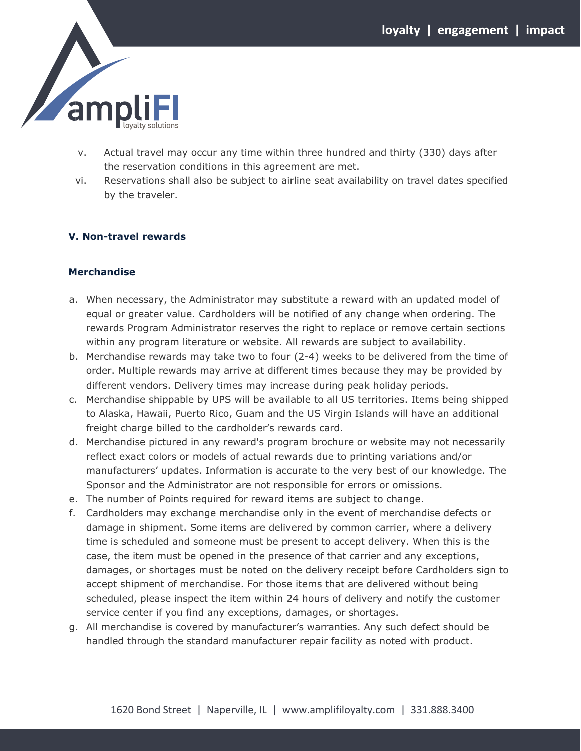

- v. Actual travel may occur any time within three hundred and thirty (330) days after the reservation conditions in this agreement are met.
- vi. Reservations shall also be subject to airline seat availability on travel dates specified by the traveler.

#### **V. Non-travel rewards**

#### **Merchandise**

- a. When necessary, the Administrator may substitute a reward with an updated model of equal or greater value. Cardholders will be notified of any change when ordering. The rewards Program Administrator reserves the right to replace or remove certain sections within any program literature or website. All rewards are subject to availability.
- b. Merchandise rewards may take two to four (2-4) weeks to be delivered from the time of order. Multiple rewards may arrive at different times because they may be provided by different vendors. Delivery times may increase during peak holiday periods.
- c. Merchandise shippable by UPS will be available to all US territories. Items being shipped to Alaska, Hawaii, Puerto Rico, Guam and the US Virgin Islands will have an additional freight charge billed to the cardholder's rewards card.
- d. Merchandise pictured in any reward's program brochure or website may not necessarily reflect exact colors or models of actual rewards due to printing variations and/or manufacturers' updates. Information is accurate to the very best of our knowledge. The Sponsor and the Administrator are not responsible for errors or omissions.
- e. The number of Points required for reward items are subject to change.
- f. Cardholders may exchange merchandise only in the event of merchandise defects or damage in shipment. Some items are delivered by common carrier, where a delivery time is scheduled and someone must be present to accept delivery. When this is the case, the item must be opened in the presence of that carrier and any exceptions, damages, or shortages must be noted on the delivery receipt before Cardholders sign to accept shipment of merchandise. For those items that are delivered without being scheduled, please inspect the item within 24 hours of delivery and notify the customer service center if you find any exceptions, damages, or shortages.
- g. All merchandise is covered by manufacturer's warranties. Any such defect should be handled through the standard manufacturer repair facility as noted with product.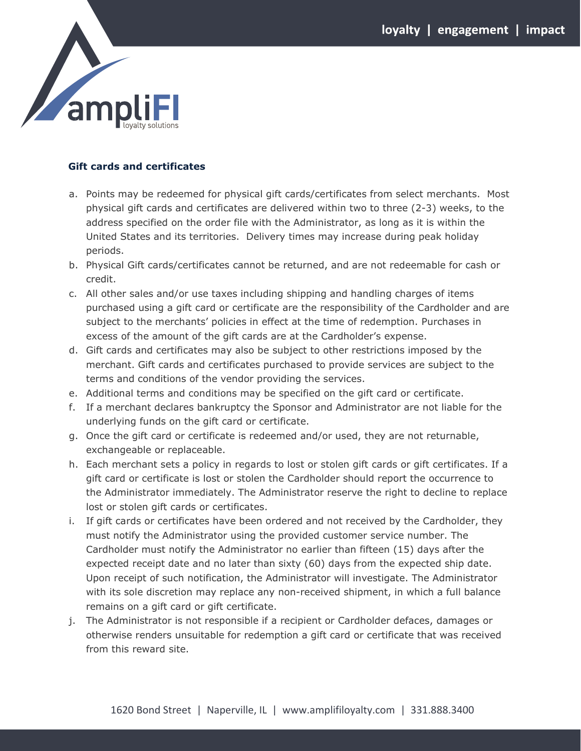

### **Gift cards and certificates**

- a. Points may be redeemed for physical gift cards/certificates from select merchants. Most physical gift cards and certificates are delivered within two to three (2-3) weeks, to the address specified on the order file with the Administrator, as long as it is within the United States and its territories. Delivery times may increase during peak holiday periods.
- b. Physical Gift cards/certificates cannot be returned, and are not redeemable for cash or credit.
- c. All other sales and/or use taxes including shipping and handling charges of items purchased using a gift card or certificate are the responsibility of the Cardholder and are subject to the merchants' policies in effect at the time of redemption. Purchases in excess of the amount of the gift cards are at the Cardholder's expense.
- d. Gift cards and certificates may also be subject to other restrictions imposed by the merchant. Gift cards and certificates purchased to provide services are subject to the terms and conditions of the vendor providing the services.
- e. Additional terms and conditions may be specified on the gift card or certificate.
- f. If a merchant declares bankruptcy the Sponsor and Administrator are not liable for the underlying funds on the gift card or certificate.
- g. Once the gift card or certificate is redeemed and/or used, they are not returnable, exchangeable or replaceable.
- h. Each merchant sets a policy in regards to lost or stolen gift cards or gift certificates. If a gift card or certificate is lost or stolen the Cardholder should report the occurrence to the Administrator immediately. The Administrator reserve the right to decline to replace lost or stolen gift cards or certificates.
- i. If gift cards or certificates have been ordered and not received by the Cardholder, they must notify the Administrator using the provided customer service number. The Cardholder must notify the Administrator no earlier than fifteen (15) days after the expected receipt date and no later than sixty (60) days from the expected ship date. Upon receipt of such notification, the Administrator will investigate. The Administrator with its sole discretion may replace any non-received shipment, in which a full balance remains on a gift card or gift certificate.
- j. The Administrator is not responsible if a recipient or Cardholder defaces, damages or otherwise renders unsuitable for redemption a gift card or certificate that was received from this reward site.